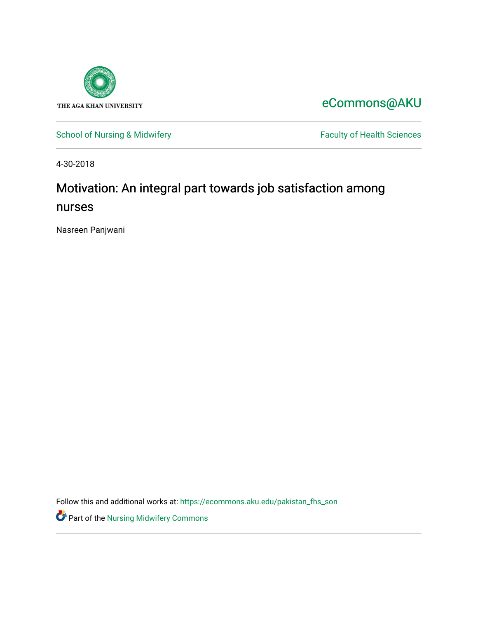

[eCommons@AKU](https://ecommons.aku.edu/) 

[School of Nursing & Midwifery](https://ecommons.aku.edu/pakistan_fhs_son) Faculty of Health Sciences

4-30-2018

# Motivation: An integral part towards job satisfaction among nurses

Nasreen Panjwani

Follow this and additional works at: [https://ecommons.aku.edu/pakistan\\_fhs\\_son](https://ecommons.aku.edu/pakistan_fhs_son?utm_source=ecommons.aku.edu%2Fpakistan_fhs_son%2F451&utm_medium=PDF&utm_campaign=PDFCoverPages) 

**Part of the Nursing Midwifery Commons**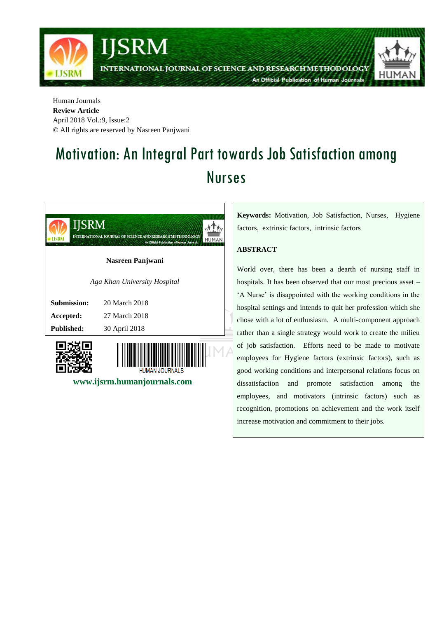

Human Journals **Review Article** April 2018 Vol.:9, Issue:2 © All rights are reserved by Nasreen Panjwani

# Motivation: An Integral Part towards Job Satisfaction among Nurses



 **www.ijsrm.humanjournals.com**

**Keywords:** Motivation, Job Satisfaction, Nurses, Hygiene factors, extrinsic factors, intrinsic factors

# **ABSTRACT**

World over, there has been a dearth of nursing staff in hospitals. It has been observed that our most precious asset – "A Nurse" is disappointed with the working conditions in the hospital settings and intends to quit her profession which she chose with a lot of enthusiasm. A multi-component approach rather than a single strategy would work to create the milieu of job satisfaction. Efforts need to be made to motivate employees for Hygiene factors (extrinsic factors), such as good working conditions and interpersonal relations focus on dissatisfaction and promote satisfaction among the employees, and motivators (intrinsic factors) such as recognition, promotions on achievement and the work itself increase motivation and commitment to their jobs.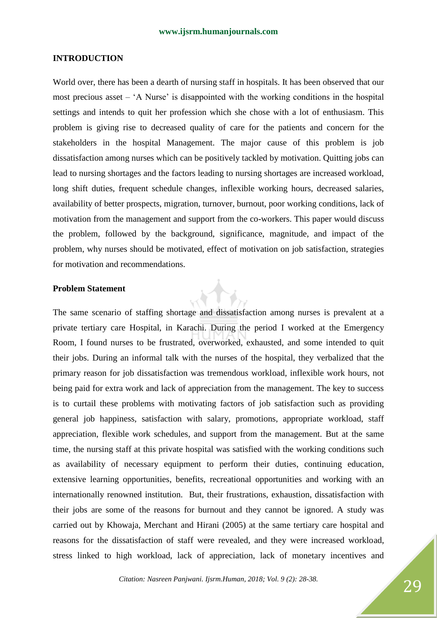# **INTRODUCTION**

World over, there has been a dearth of nursing staff in hospitals. It has been observed that our most precious asset – "A Nurse" is disappointed with the working conditions in the hospital settings and intends to quit her profession which she chose with a lot of enthusiasm. This problem is giving rise to decreased quality of care for the patients and concern for the stakeholders in the hospital Management. The major cause of this problem is job dissatisfaction among nurses which can be positively tackled by motivation. Quitting jobs can lead to nursing shortages and the factors leading to nursing shortages are increased workload, long shift duties, frequent schedule changes, inflexible working hours, decreased salaries, availability of better prospects, migration, turnover, burnout, poor working conditions, lack of motivation from the management and support from the co-workers. This paper would discuss the problem, followed by the background, significance, magnitude, and impact of the problem, why nurses should be motivated, effect of motivation on job satisfaction, strategies for motivation and recommendations.

# **Problem Statement**

The same scenario of staffing shortage and dissatisfaction among nurses is prevalent at a private tertiary care Hospital, in Karachi. During the period I worked at the Emergency Room, I found nurses to be frustrated, overworked, exhausted, and some intended to quit their jobs. During an informal talk with the nurses of the hospital, they verbalized that the primary reason for job dissatisfaction was tremendous workload, inflexible work hours, not being paid for extra work and lack of appreciation from the management. The key to success is to curtail these problems with motivating factors of job satisfaction such as providing general job happiness, satisfaction with salary, promotions, appropriate workload, staff appreciation, flexible work schedules, and support from the management. But at the same time, the nursing staff at this private hospital was satisfied with the working conditions such as availability of necessary equipment to perform their duties, continuing education, extensive learning opportunities, benefits, recreational opportunities and working with an internationally renowned institution. But, their frustrations, exhaustion, dissatisfaction with their jobs are some of the reasons for burnout and they cannot be ignored. A study was carried out by Khowaja, Merchant and Hirani (2005) at the same tertiary care hospital and reasons for the dissatisfaction of staff were revealed, and they were increased workload, stress linked to high workload, lack of appreciation, lack of monetary incentives and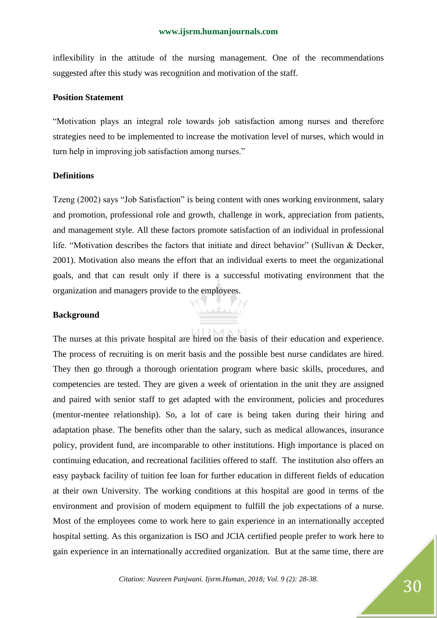inflexibility in the attitude of the nursing management. One of the recommendations suggested after this study was recognition and motivation of the staff.

#### **Position Statement**

"Motivation plays an integral role towards job satisfaction among nurses and therefore strategies need to be implemented to increase the motivation level of nurses, which would in turn help in improving job satisfaction among nurses."

# **Definitions**

Tzeng (2002) says "Job Satisfaction" is being content with ones working environment, salary and promotion, professional role and growth, challenge in work, appreciation from patients, and management style. All these factors promote satisfaction of an individual in professional life. "Motivation describes the factors that initiate and direct behavior" (Sullivan & Decker, 2001). Motivation also means the effort that an individual exerts to meet the organizational goals, and that can result only if there is a successful motivating environment that the organization and managers provide to the employees.

#### **Background**

The nurses at this private hospital are hired on the basis of their education and experience. The process of recruiting is on merit basis and the possible best nurse candidates are hired. They then go through a thorough orientation program where basic skills, procedures, and competencies are tested. They are given a week of orientation in the unit they are assigned and paired with senior staff to get adapted with the environment, policies and procedures (mentor-mentee relationship). So, a lot of care is being taken during their hiring and adaptation phase. The benefits other than the salary, such as medical allowances, insurance policy, provident fund, are incomparable to other institutions. High importance is placed on continuing education, and recreational facilities offered to staff. The institution also offers an easy payback facility of tuition fee loan for further education in different fields of education at their own University. The working conditions at this hospital are good in terms of the environment and provision of modern equipment to fulfill the job expectations of a nurse. Most of the employees come to work here to gain experience in an internationally accepted hospital setting. As this organization is ISO and JCIA certified people prefer to work here to gain experience in an internationally accredited organization. But at the same time, there are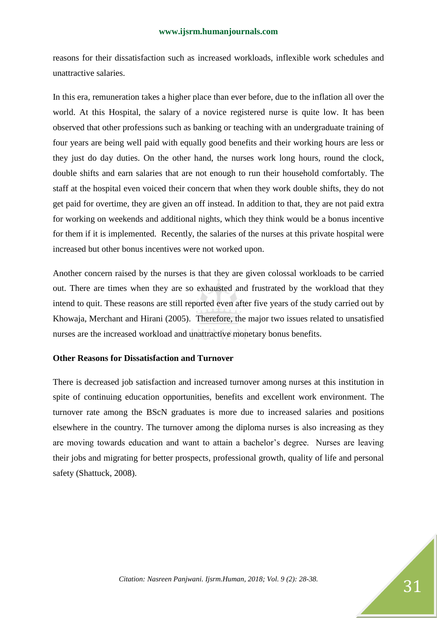reasons for their dissatisfaction such as increased workloads, inflexible work schedules and unattractive salaries.

In this era, remuneration takes a higher place than ever before, due to the inflation all over the world. At this Hospital, the salary of a novice registered nurse is quite low. It has been observed that other professions such as banking or teaching with an undergraduate training of four years are being well paid with equally good benefits and their working hours are less or they just do day duties. On the other hand, the nurses work long hours, round the clock, double shifts and earn salaries that are not enough to run their household comfortably. The staff at the hospital even voiced their concern that when they work double shifts, they do not get paid for overtime, they are given an off instead. In addition to that, they are not paid extra for working on weekends and additional nights, which they think would be a bonus incentive for them if it is implemented. Recently, the salaries of the nurses at this private hospital were increased but other bonus incentives were not worked upon.

Another concern raised by the nurses is that they are given colossal workloads to be carried out. There are times when they are so exhausted and frustrated by the workload that they intend to quit. These reasons are still reported even after five years of the study carried out by Khowaja, Merchant and Hirani (2005). Therefore, the major two issues related to unsatisfied nurses are the increased workload and unattractive monetary bonus benefits.

# **Other Reasons for Dissatisfaction and Turnover**

There is decreased job satisfaction and increased turnover among nurses at this institution in spite of continuing education opportunities, benefits and excellent work environment. The turnover rate among the BScN graduates is more due to increased salaries and positions elsewhere in the country. The turnover among the diploma nurses is also increasing as they are moving towards education and want to attain a bachelor"s degree. Nurses are leaving their jobs and migrating for better prospects, professional growth, quality of life and personal safety (Shattuck, 2008).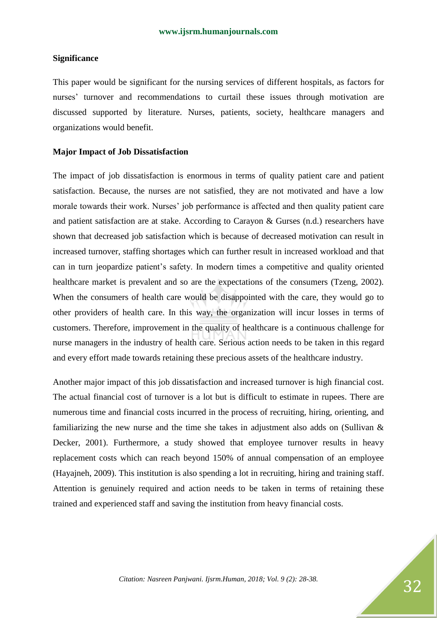### **Significance**

This paper would be significant for the nursing services of different hospitals, as factors for nurses' turnover and recommendations to curtail these issues through motivation are discussed supported by literature. Nurses, patients, society, healthcare managers and organizations would benefit.

# **Major Impact of Job Dissatisfaction**

The impact of job dissatisfaction is enormous in terms of quality patient care and patient satisfaction. Because, the nurses are not satisfied, they are not motivated and have a low morale towards their work. Nurses' job performance is affected and then quality patient care and patient satisfaction are at stake. According to Carayon & Gurses (n.d.) researchers have shown that decreased job satisfaction which is because of decreased motivation can result in increased turnover, staffing shortages which can further result in increased workload and that can in turn jeopardize patient"s safety. In modern times a competitive and quality oriented healthcare market is prevalent and so are the expectations of the consumers (Tzeng, 2002). When the consumers of health care would be disappointed with the care, they would go to other providers of health care. In this way, the organization will incur losses in terms of customers. Therefore, improvement in the quality of healthcare is a continuous challenge for nurse managers in the industry of health care. Serious action needs to be taken in this regard and every effort made towards retaining these precious assets of the healthcare industry.

Another major impact of this job dissatisfaction and increased turnover is high financial cost. The actual financial cost of turnover is a lot but is difficult to estimate in rupees. There are numerous time and financial costs incurred in the process of recruiting, hiring, orienting, and familiarizing the new nurse and the time she takes in adjustment also adds on (Sullivan & Decker, 2001). Furthermore, a study showed that employee turnover results in heavy replacement costs which can reach beyond 150% of annual compensation of an employee (Hayajneh, 2009). This institution is also spending a lot in recruiting, hiring and training staff. Attention is genuinely required and action needs to be taken in terms of retaining these trained and experienced staff and saving the institution from heavy financial costs.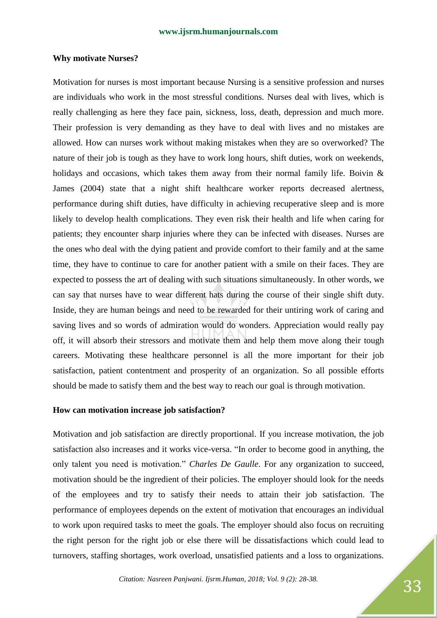#### **Why motivate Nurses?**

Motivation for nurses is most important because Nursing is a sensitive profession and nurses are individuals who work in the most stressful conditions. Nurses deal with lives, which is really challenging as here they face pain, sickness, loss, death, depression and much more. Their profession is very demanding as they have to deal with lives and no mistakes are allowed. How can nurses work without making mistakes when they are so overworked? The nature of their job is tough as they have to work long hours, shift duties, work on weekends, holidays and occasions, which takes them away from their normal family life. Boivin & James (2004) state that a night shift healthcare worker reports decreased alertness, performance during shift duties, have difficulty in achieving recuperative sleep and is more likely to develop health complications. They even risk their health and life when caring for patients; they encounter sharp injuries where they can be infected with diseases. Nurses are the ones who deal with the dying patient and provide comfort to their family and at the same time, they have to continue to care for another patient with a smile on their faces. They are expected to possess the art of dealing with such situations simultaneously. In other words, we can say that nurses have to wear different hats during the course of their single shift duty. Inside, they are human beings and need to be rewarded for their untiring work of caring and saving lives and so words of admiration would do wonders. Appreciation would really pay off, it will absorb their stressors and motivate them and help them move along their tough careers. Motivating these healthcare personnel is all the more important for their job satisfaction, patient contentment and prosperity of an organization. So all possible efforts should be made to satisfy them and the best way to reach our goal is through motivation.

#### **How can motivation increase job satisfaction?**

Motivation and job satisfaction are directly proportional. If you increase motivation, the job satisfaction also increases and it works vice-versa. "In order to become good in anything, the only talent you need is motivation." *Charles De Gaulle*. For any organization to succeed, motivation should be the ingredient of their policies. The employer should look for the needs of the employees and try to satisfy their needs to attain their job satisfaction. The performance of employees depends on the extent of motivation that encourages an individual to work upon required tasks to meet the goals. The employer should also focus on recruiting the right person for the right job or else there will be dissatisfactions which could lead to turnovers, staffing shortages, work overload, unsatisfied patients and a loss to organizations.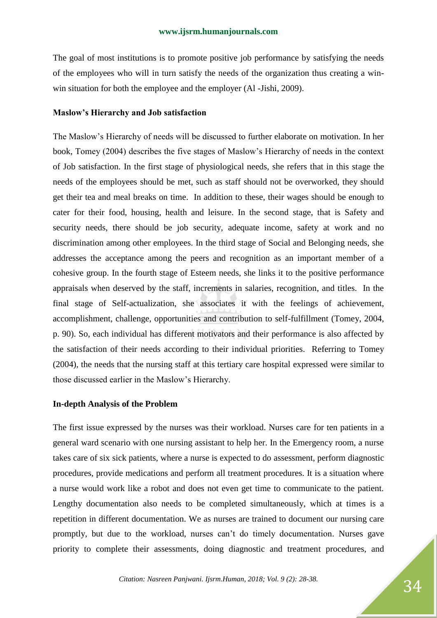The goal of most institutions is to promote positive job performance by satisfying the needs of the employees who will in turn satisfy the needs of the organization thus creating a winwin situation for both the employee and the employer (Al -Jishi, 2009).

#### **Maslow's Hierarchy and Job satisfaction**

The Maslow"s Hierarchy of needs will be discussed to further elaborate on motivation. In her book, Tomey (2004) describes the five stages of Maslow"s Hierarchy of needs in the context of Job satisfaction. In the first stage of physiological needs, she refers that in this stage the needs of the employees should be met, such as staff should not be overworked, they should get their tea and meal breaks on time. In addition to these, their wages should be enough to cater for their food, housing, health and leisure. In the second stage, that is Safety and security needs, there should be job security, adequate income, safety at work and no discrimination among other employees. In the third stage of Social and Belonging needs, she addresses the acceptance among the peers and recognition as an important member of a cohesive group. In the fourth stage of Esteem needs, she links it to the positive performance appraisals when deserved by the staff, increments in salaries, recognition, and titles. In the final stage of Self-actualization, she associates it with the feelings of achievement, accomplishment, challenge, opportunities and contribution to self-fulfillment (Tomey, 2004, p. 90). So, each individual has different motivators and their performance is also affected by the satisfaction of their needs according to their individual priorities. Referring to Tomey (2004), the needs that the nursing staff at this tertiary care hospital expressed were similar to those discussed earlier in the Maslow"s Hierarchy.

#### **In-depth Analysis of the Problem**

The first issue expressed by the nurses was their workload. Nurses care for ten patients in a general ward scenario with one nursing assistant to help her. In the Emergency room, a nurse takes care of six sick patients, where a nurse is expected to do assessment, perform diagnostic procedures, provide medications and perform all treatment procedures. It is a situation where a nurse would work like a robot and does not even get time to communicate to the patient. Lengthy documentation also needs to be completed simultaneously, which at times is a repetition in different documentation. We as nurses are trained to document our nursing care promptly, but due to the workload, nurses can"t do timely documentation. Nurses gave priority to complete their assessments, doing diagnostic and treatment procedures, and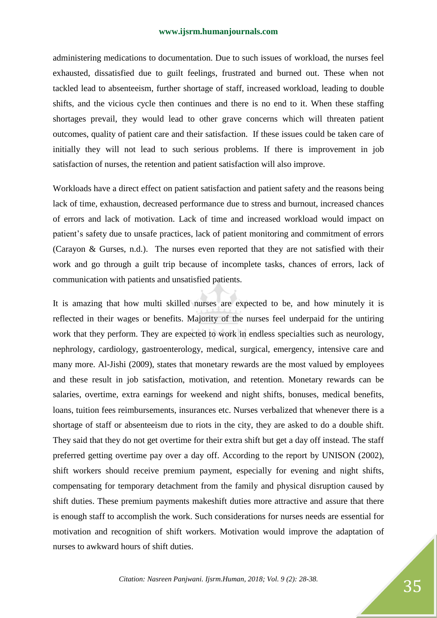administering medications to documentation. Due to such issues of workload, the nurses feel exhausted, dissatisfied due to guilt feelings, frustrated and burned out. These when not tackled lead to absenteeism, further shortage of staff, increased workload, leading to double shifts, and the vicious cycle then continues and there is no end to it. When these staffing shortages prevail, they would lead to other grave concerns which will threaten patient outcomes, quality of patient care and their satisfaction. If these issues could be taken care of initially they will not lead to such serious problems. If there is improvement in job satisfaction of nurses, the retention and patient satisfaction will also improve.

Workloads have a direct effect on patient satisfaction and patient safety and the reasons being lack of time, exhaustion, decreased performance due to stress and burnout, increased chances of errors and lack of motivation. Lack of time and increased workload would impact on patient's safety due to unsafe practices, lack of patient monitoring and commitment of errors (Carayon & Gurses, n.d.). The nurses even reported that they are not satisfied with their work and go through a guilt trip because of incomplete tasks, chances of errors, lack of communication with patients and unsatisfied patients.

It is amazing that how multi skilled nurses are expected to be, and how minutely it is reflected in their wages or benefits. Majority of the nurses feel underpaid for the untiring work that they perform. They are expected to work in endless specialties such as neurology, nephrology, cardiology, gastroenterology, medical, surgical, emergency, intensive care and many more. Al-Jishi (2009), states that monetary rewards are the most valued by employees and these result in job satisfaction, motivation, and retention. Monetary rewards can be salaries, overtime, extra earnings for weekend and night shifts, bonuses, medical benefits, loans, tuition fees reimbursements, insurances etc. Nurses verbalized that whenever there is a shortage of staff or absenteeism due to riots in the city, they are asked to do a double shift. They said that they do not get overtime for their extra shift but get a day off instead. The staff preferred getting overtime pay over a day off. According to the report by UNISON (2002), shift workers should receive premium payment, especially for evening and night shifts, compensating for temporary detachment from the family and physical disruption caused by shift duties. These premium payments makeshift duties more attractive and assure that there is enough staff to accomplish the work. Such considerations for nurses needs are essential for motivation and recognition of shift workers. Motivation would improve the adaptation of nurses to awkward hours of shift duties.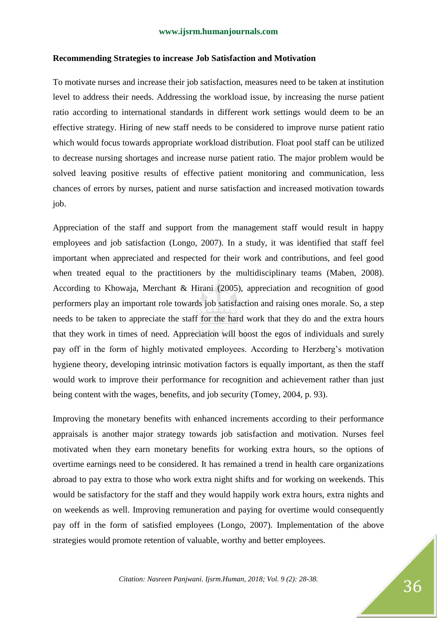#### **Recommending Strategies to increase Job Satisfaction and Motivation**

To motivate nurses and increase their job satisfaction, measures need to be taken at institution level to address their needs. Addressing the workload issue, by increasing the nurse patient ratio according to international standards in different work settings would deem to be an effective strategy. Hiring of new staff needs to be considered to improve nurse patient ratio which would focus towards appropriate workload distribution. Float pool staff can be utilized to decrease nursing shortages and increase nurse patient ratio. The major problem would be solved leaving positive results of effective patient monitoring and communication, less chances of errors by nurses, patient and nurse satisfaction and increased motivation towards job.

Appreciation of the staff and support from the management staff would result in happy employees and job satisfaction (Longo, 2007). In a study, it was identified that staff feel important when appreciated and respected for their work and contributions, and feel good when treated equal to the practitioners by the multidisciplinary teams (Maben, 2008). According to Khowaja, Merchant & Hirani (2005), appreciation and recognition of good performers play an important role towards job satisfaction and raising ones morale. So, a step needs to be taken to appreciate the staff for the hard work that they do and the extra hours that they work in times of need. Appreciation will boost the egos of individuals and surely pay off in the form of highly motivated employees. According to Herzberg's motivation hygiene theory, developing intrinsic motivation factors is equally important, as then the staff would work to improve their performance for recognition and achievement rather than just being content with the wages, benefits, and job security (Tomey, 2004, p. 93).

Improving the monetary benefits with enhanced increments according to their performance appraisals is another major strategy towards job satisfaction and motivation. Nurses feel motivated when they earn monetary benefits for working extra hours, so the options of overtime earnings need to be considered. It has remained a trend in health care organizations abroad to pay extra to those who work extra night shifts and for working on weekends. This would be satisfactory for the staff and they would happily work extra hours, extra nights and on weekends as well. Improving remuneration and paying for overtime would consequently pay off in the form of satisfied employees (Longo, 2007). Implementation of the above strategies would promote retention of valuable, worthy and better employees.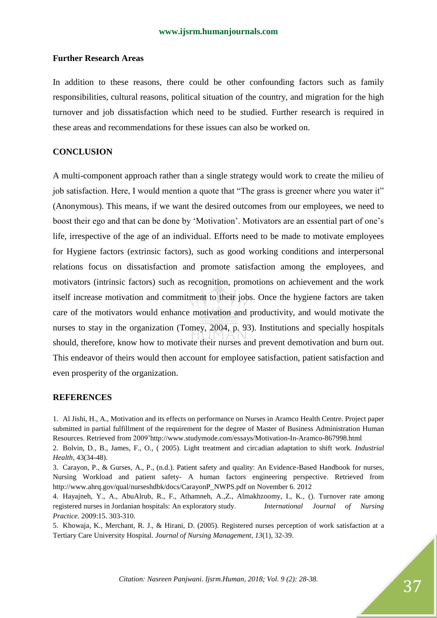#### **Further Research Areas**

In addition to these reasons, there could be other confounding factors such as family responsibilities, cultural reasons, political situation of the country, and migration for the high turnover and job dissatisfaction which need to be studied. Further research is required in these areas and recommendations for these issues can also be worked on.

# **CONCLUSION**

A multi-component approach rather than a single strategy would work to create the milieu of job satisfaction. Here, I would mention a quote that "The grass is greener where you water it" (Anonymous). This means, if we want the desired outcomes from our employees, we need to boost their ego and that can be done by 'Motivation'. Motivators are an essential part of one's life, irrespective of the age of an individual. Efforts need to be made to motivate employees for Hygiene factors (extrinsic factors), such as good working conditions and interpersonal relations focus on dissatisfaction and promote satisfaction among the employees, and motivators (intrinsic factors) such as recognition, promotions on achievement and the work itself increase motivation and commitment to their jobs. Once the hygiene factors are taken care of the motivators would enhance motivation and productivity, and would motivate the nurses to stay in the organization (Tomey, 2004, p. 93). Institutions and specially hospitals should, therefore, know how to motivate their nurses and prevent demotivation and burn out. This endeavor of theirs would then account for employee satisfaction, patient satisfaction and even prosperity of the organization.

#### **REFERENCES**

1. Al Jishi, H., A., Motivation and its effects on performance on Nurses in Aramco Health Centre. Project paper submitted in partial fulfillment of the requirement for the degree of Master of Business Administration Human Resources. Retrieved from 2009"http://www.studymode.com/essays/Motivation-In-Aramco-867998.html 2. Bolvin, D., B., James, F., O., ( 2005). Light treatment and circadian adaptation to shift work. *Industrial* 

*Health,* 43(34-48).

3. Carayon, P., & Gurses, A., P., (n.d.). Patient safety and quality: An Evidence-Based Handbook for nurses, Nursing Workload and patient safety- A human factors engineering perspective. Retrieved from http://www.ahrq.gov/qual/nurseshdbk/docs/CarayonP\_NWPS.pdf on November 6. 2012

4. Hayajneh, Y., A., AbuAlrub, R., F., Athamneh, A.,Z., Almakhzoomy, I., K., (). Turnover rate among registered nurses in Jordanian hospitals: An exploratory study. *International Journal of Nursing Practice.* 2009:15. 303-310.

5. Khowaja, K., Merchant, R. J., & Hirani, D. (2005). Registered nurses perception of work satisfaction at a Tertiary Care University Hospital. *Journal of Nursing Management, 13*(1), 32-39.